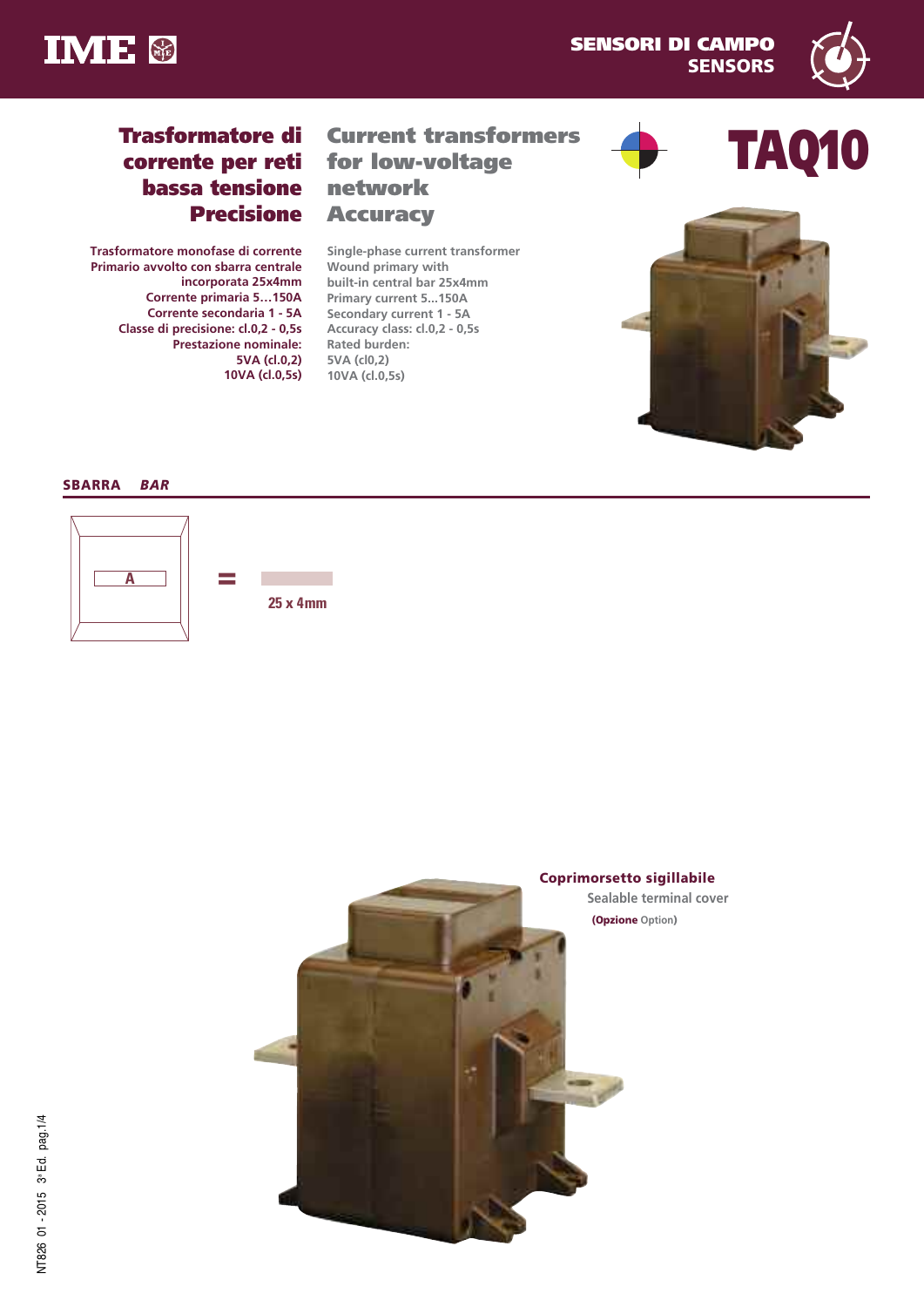



# **Trasformatore di corrente per reti bassa tensione Precisione**

**Trasformatore monofase di corrente Primario avvolto con sbarra centrale incorporata 25x4mm Corrente primaria 5…150A Corrente secondaria 1 - 5A Classe di precisione: cl.0,2 - 0,5s Prestazione nominale: 5VA (cl.0,2) 10VA (cl.0,5s)**

# **Current transformers for low-voltage network Accuracy**

**Single-phase current transformer Wound primary with built-in central bar 25x4mm Primary current 5...150A Secondary current 1 - 5A Accuracy class: cl.0,2 - 0,5s Rated burden: 5VA (cl0,2) 10VA (cl.0,5s)**





# **SBARRA** *BAR*



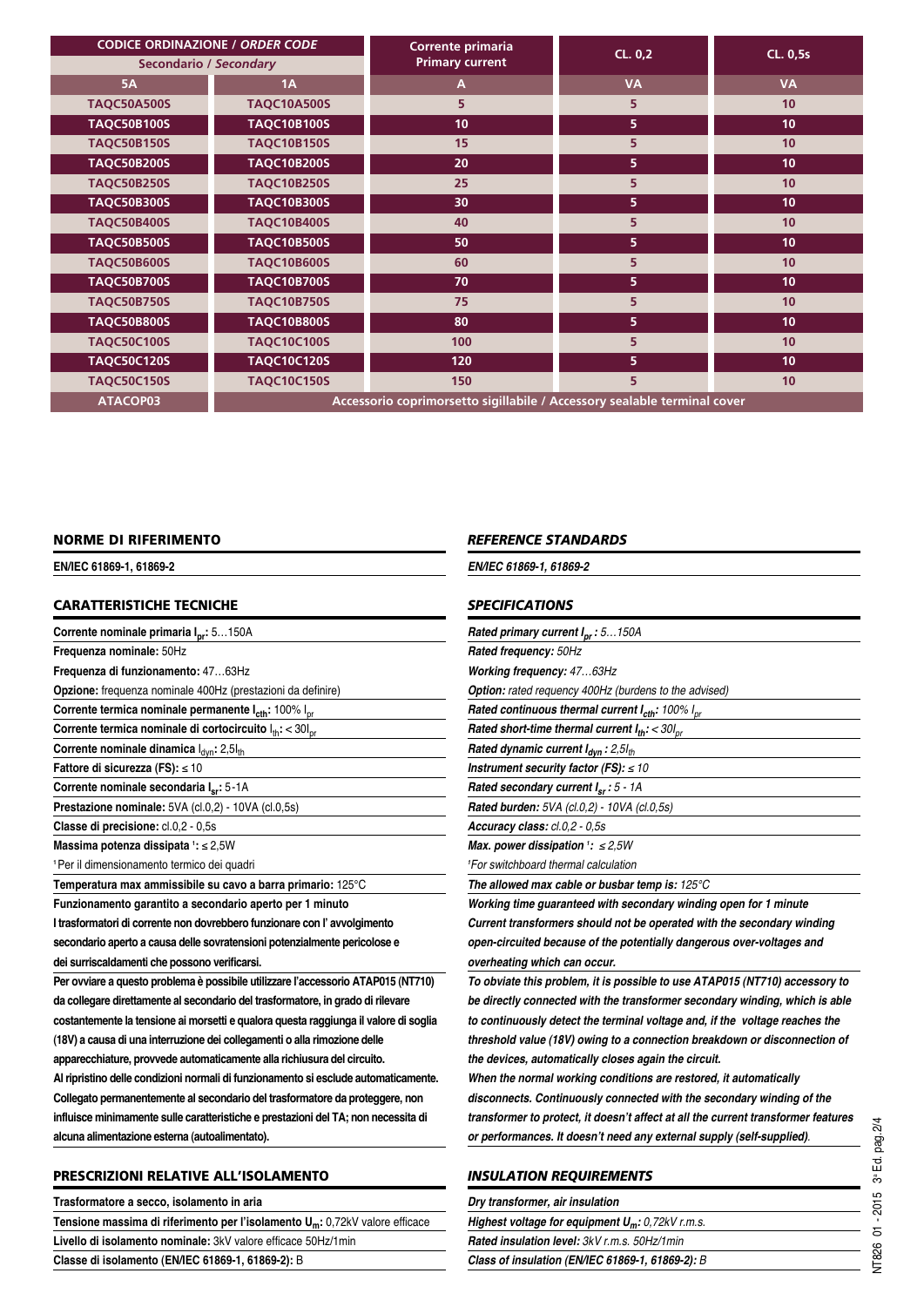| <b>CODICE ORDINAZIONE / ORDER CODE</b> |                                                                          | Corrente primaria      | CL. 0.2        | CL. 0,5s        |  |  |  |  |
|----------------------------------------|--------------------------------------------------------------------------|------------------------|----------------|-----------------|--|--|--|--|
| Secondario / Secondary                 |                                                                          | <b>Primary current</b> |                |                 |  |  |  |  |
| <b>5A</b>                              | 1A                                                                       | A                      | <b>VA</b>      | <b>VA</b>       |  |  |  |  |
| <b>TAQC50A500S</b>                     | <b>TAQC10A500S</b>                                                       | 5.                     | 5.             | 10              |  |  |  |  |
| <b>TAQC50B100S</b>                     | <b>TAQC10B100S</b>                                                       | 10 <sup>2</sup>        | 5 <sup>1</sup> | 10 <sub>1</sub> |  |  |  |  |
| <b>TAQC50B150S</b>                     | <b>TAQC10B150S</b>                                                       | 15                     | 5.             | 10              |  |  |  |  |
| <b>TAQC50B200S</b>                     | <b>TAQC10B200S</b>                                                       | 20                     | 5.             | 10 <sub>1</sub> |  |  |  |  |
| <b>TAQC50B250S</b>                     | <b>TAQC10B250S</b>                                                       | 25                     | 5.             | 10              |  |  |  |  |
| <b>TAQC50B300S</b>                     | <b>TAQC10B300S</b>                                                       | 30                     | 5.             | 10 <sub>1</sub> |  |  |  |  |
| <b>TAQC50B400S</b>                     | <b>TAQC10B400S</b>                                                       | 40                     | 5              | 10              |  |  |  |  |
| <b>TAQC50B500S</b>                     | <b>TAQC10B500S</b>                                                       | 50                     | 5 <sup>1</sup> | 10 <sub>1</sub> |  |  |  |  |
| <b>TAQC50B600S</b>                     | <b>TAQC10B600S</b>                                                       | 60                     | 5              | 10              |  |  |  |  |
| <b>TAQC50B700S</b>                     | <b>TAQC10B700S</b>                                                       | 70                     | 5 <sup>1</sup> | 10              |  |  |  |  |
| <b>TAQC50B750S</b>                     | <b>TAQC10B750S</b>                                                       | 75                     | 5              | 10              |  |  |  |  |
| <b>TAQC50B800S</b>                     | <b>TAQC10B800S</b>                                                       | 80                     | 5 <sup>1</sup> | 10 <sub>1</sub> |  |  |  |  |
| <b>TAQC50C100S</b>                     | <b>TAQC10C100S</b>                                                       | 100                    | 5              | 10              |  |  |  |  |
| <b>TAQC50C120S</b>                     | <b>TAQC10C120S</b>                                                       | 120                    | 5 <sup>1</sup> | 10              |  |  |  |  |
| <b>TAQC50C150S</b>                     | <b>TAQC10C150S</b>                                                       | 150                    | 5              | 10              |  |  |  |  |
| ATACOP03                               | Accessorio coprimorsetto sigillabile / Accessory sealable terminal cover |                        |                |                 |  |  |  |  |

#### **NORME DI RIFERIMENTO**

| EN/IEC 61869-1, 61869-2                                                              | EN/IEC 61869-1, 61869-2                                                  |  |  |  |  |
|--------------------------------------------------------------------------------------|--------------------------------------------------------------------------|--|--|--|--|
| <b>CARATTERISTICHE TECNICHE</b>                                                      | <b>SPECIFICATIONS</b>                                                    |  |  |  |  |
| Corrente nominale primaria I <sub>pr</sub> : 5150A                                   | Rated primary current I <sub>pr</sub> : 5150A                            |  |  |  |  |
| Frequenza nominale: 50Hz                                                             | Rated frequency: 50Hz                                                    |  |  |  |  |
| Frequenza di funzionamento: 4763Hz                                                   | Working frequency: 4763Hz                                                |  |  |  |  |
| Opzione: frequenza nominale 400Hz (prestazioni da definire)                          | <b>Option:</b> rated requency 400Hz (burdens to the advised)             |  |  |  |  |
| Corrente termica nominale permanente I <sub>cth</sub> : 100% I <sub>or</sub>         | Rated continuous thermal current I <sub>cth</sub> : 100% I <sub>or</sub> |  |  |  |  |
| Corrente termica nominale di cortocircuito ltt. < 30l <sub>or</sub>                  | Rated short-time thermal current $I_{th}$ : < 30 $I_{or}$                |  |  |  |  |
| Corrente nominale dinamica I <sub>dyn</sub> : 2,5I <sub>th</sub>                     | Rated dynamic current $I_{dyn}$ : 2,5 $I_{th}$                           |  |  |  |  |
| Fattore di sicurezza (FS): ≤ 10                                                      | Instrument security factor (FS): $\leq 10$                               |  |  |  |  |
| Corrente nominale secondaria I <sub>sr</sub> : 5-1A                                  | Rated secondary current $I_{sr}$ : 5 - 1A                                |  |  |  |  |
| Prestazione nominale: 5VA (cl.0,2) - 10VA (cl.0,5s)                                  | Rated burden: 5VA (cl.0,2) - 10VA (cl.0,5s)                              |  |  |  |  |
| Classe di precisione: cl.0,2 - 0,5s                                                  | Accuracy class: cl.0,2 - 0,5s                                            |  |  |  |  |
| Massima potenza dissipata 1: ≤ 2,5W                                                  | Max. power dissipation $\frac{1}{2}$ : $\leq$ 2,5W                       |  |  |  |  |
| <sup>1</sup> Per il dimensionamento termico dei quadri                               | <sup>1</sup> For switchboard thermal calculation                         |  |  |  |  |
| Temperatura max ammissibile su cavo a barra primario: 125°C                          | The allowed max cable or busbar temp is: $125^{\circ}$ C                 |  |  |  |  |
| Funzionamento garantito a secondario aperto per 1 minuto                             | Working time guaranteed with secondary winding open for 1 minute         |  |  |  |  |
| I trasformatori di corrente non dovrebbero funzionare con l'avvolgimento             | Current transformers should not be operated with the secondary win       |  |  |  |  |
| secondario aperto a causa delle sovratensioni potenzialmente pericolose e            | open-circuited because of the potentially dangerous over-voltages a      |  |  |  |  |
| dei surriscaldamenti che possono verificarsi.                                        | overheating which can occur.                                             |  |  |  |  |
| Per ovviare a questo problema è possibile utilizzare l'accessorio ATAP015 (NT710)    | To obviate this problem, it is possible to use ATAP015 (NT710) acces     |  |  |  |  |
| da collegare direttamente al secondario del trasformatore, in grado di rilevare      | be directly connected with the transformer secondary winding, whicl      |  |  |  |  |
| costantemente la tensione ai morsetti e qualora questa raggiunga il valore di soglia | to continuously detect the terminal voltage and, if the voltage reach    |  |  |  |  |
| (18V) a causa di una interruzione dei collegamenti o alla rimozione delle            | threshold value (18V) owing to a connection breakdown or disconne        |  |  |  |  |
| apparecchiature, provvede automaticamente alla richiusura del circuito.              | the devices, automatically closes again the circuit.                     |  |  |  |  |
| Al ripristino delle condizioni normali di funzionamento si esclude automaticamente.  | When the normal working conditions are restored, it automatically        |  |  |  |  |
| Collegato permanentemente al secondario del trasformatore da proteggere, non         | disconnects. Continuously connected with the secondary winding of        |  |  |  |  |
| influisce minimamente sulle caratteristiche e prestazioni del TA; non necessita di   | transformer to protect, it doesn't affect at all the current transformer |  |  |  |  |
| alcuna alimentazione esterna (autoalimentato).                                       | or performances. It doesn't need any external supply (self-supplied).    |  |  |  |  |

#### **PRESCRIZIONI RELATIVE ALL'ISOLAMENTO**

**Trasformatore a secco, isolamento in aria Tensione massima di riferimento per l'isolamento Um:** 0,72kV valore efficace **Livello di isolamento nominale:** 3kV valore efficace 50Hz/1min **Classe di isolamento (EN/IEC 61869-1, 61869-2):** B

#### *REFERENCE STANDARDS*

*Current transformers should not be operated with the secondary winding open-circuited because of the potentially dangerous over-voltages and*

*To obviate this problem, it is possible to use ATAP015 (NT710) accessory to be directly connected with the transformer secondary winding, which is able to continuously detect the terminal voltage and, if the voltage reaches the threshold value (18V) owing to a connection breakdown or disconnection of*

*disconnects. Continuously connected with the secondary winding of the transformer to protect, it doesn't affect at all the current transformer features or performances. It doesn't need any external supply (self-supplied).*

#### *INSULATION REQUIREMENTS*

| Dry transformer, air insulation                                      |  |
|----------------------------------------------------------------------|--|
| <b>Highest voltage for equipment <math>U_m</math>:</b> 0,72kV r.m.s. |  |
| Rated insulation level: 3kV r.m.s. 50Hz/1min                         |  |
| Class of insulation (EN/IEC 61869-1, 61869-2): B                     |  |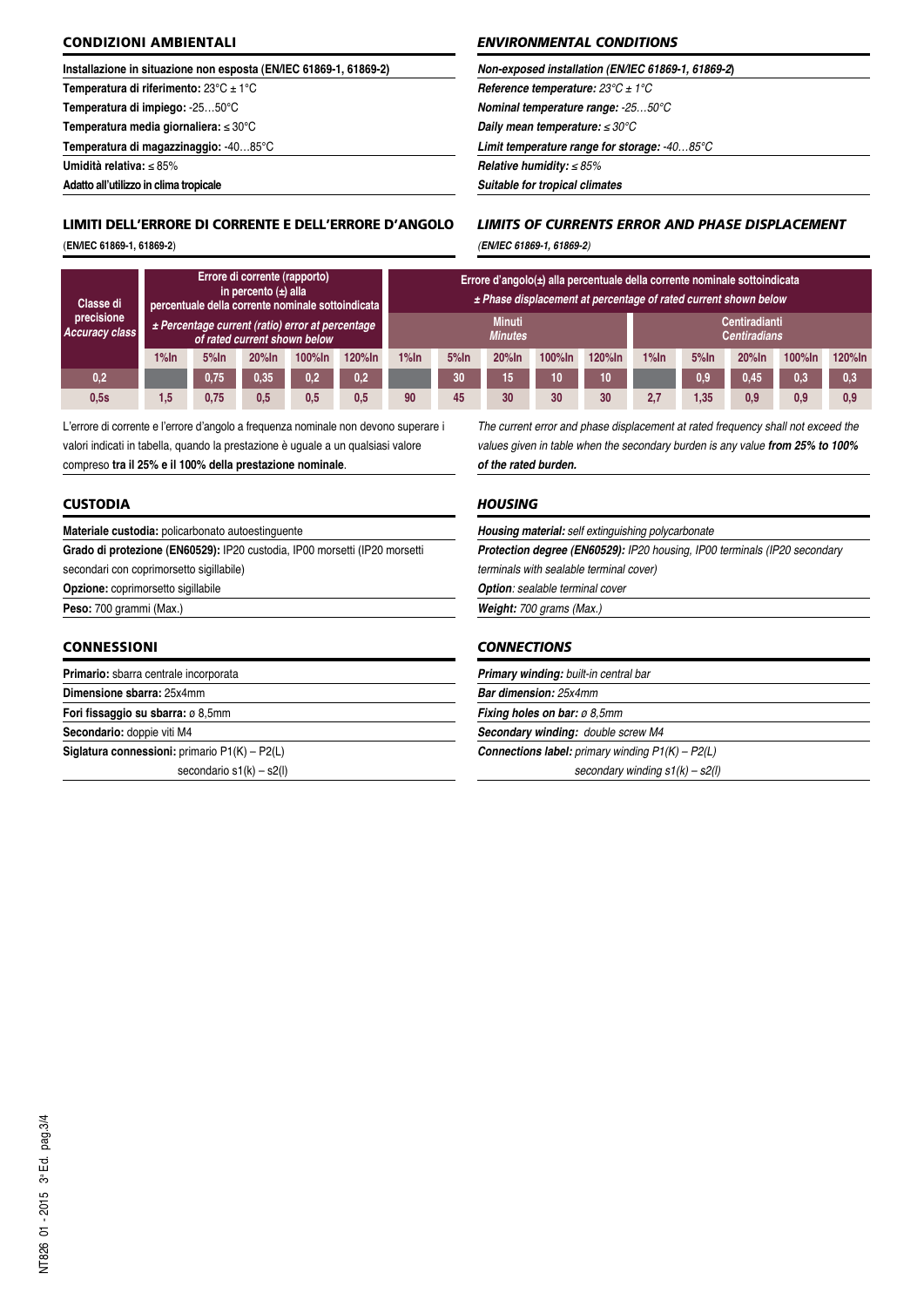#### **CONDIZIONI AMBIENTALI**

#### **Installazione in situazione non esposta (EN/IEC 61869-1, 61869-2)**

**Temperatura di riferimento:** 23°C ± 1°C

**Temperatura di impiego:** -25…50°C

**Temperatura media giornaliera:** ≤ 30°C

**Temperatura di magazzinaggio:** -40…85°C

**Umidità relativa:** ≤ 85%

**Adatto all'utilizzo in clima tropicale**

## **LIMITI DELL'ERRORE DI CORRENTE E DELL'ERRORE D'ANGOLO**

(**EN/IEC 61869-1, 61869-2**)

| Classe di<br>precisione<br><b>Accuracy class</b> | Errore di corrente (rapporto)<br>in percento $(\pm)$ alla<br>percentuale della corrente nominale sottoindicata<br>± Percentage current (ratio) error at percentage<br>of rated current shown below |         |       |           |        | Errore d'angolo(±) alla percentuale della corrente nominale sottoindicata<br>± Phase displacement at percentage of rated current shown below |         |          |           |                                      |         |         |          |           |        |
|--------------------------------------------------|----------------------------------------------------------------------------------------------------------------------------------------------------------------------------------------------------|---------|-------|-----------|--------|----------------------------------------------------------------------------------------------------------------------------------------------|---------|----------|-----------|--------------------------------------|---------|---------|----------|-----------|--------|
|                                                  |                                                                                                                                                                                                    |         |       |           |        | <b>Minuti</b><br><b>Minutes</b>                                                                                                              |         |          |           | Centiradianti<br><b>Centiradians</b> |         |         |          |           |        |
|                                                  | $1%$ In                                                                                                                                                                                            | $5%$ In | 20%In | $100%$ In | 120%In | $1%$ In                                                                                                                                      | $5%$ In | $20%$ In | $100%$ In | 120%In                               | $1%$ In | $5%$ In | $20%$ In | $100%$ In | 120%In |
| 0,2                                              |                                                                                                                                                                                                    | 0,75    | 0,35  | 0,2       | 0.2    |                                                                                                                                              | 30      | 15       | 10        | 10                                   |         | 0,9     | 0,45     | 0,3       | 0,3    |
| 0,5s                                             | 1,5                                                                                                                                                                                                | 0,75    | 0,5   | 0,5       | 0,5    | 90                                                                                                                                           | 45      | 30       | 30        | 30                                   | 2.7     | 1,35    | 0,9      | 0,9       | 0,9    |

L'errore di corrente e l'errore d'angolo a frequenza nominale non devono superare i valori indicati in tabella, quando la prestazione è uguale a un qualsiasi valore compreso **tra il 25% e il 100% della prestazione nominale**.

### **CUSTODIA**

**Materiale custodia:** policarbonato autoestinguente

**Grado di protezione (EN60529):** IP20 custodia, IP00 morsetti (IP20 morsetti

secondari con coprimorsetto sigillabile)

**Opzione:** coprimorsetto sigillabile

**Peso:** 700 grammi (Max.)

## **CONNESSIONI**

| Primario: sbarra centrale incorporata                  |  |
|--------------------------------------------------------|--|
| Dimensione sbarra: 25x4mm                              |  |
| Fori fissaggio su sbarra: ø 8,5mm                      |  |
| Secondario: doppie viti M4                             |  |
| <b>Siglatura connessioni:</b> primario $P1(K) - P2(L)$ |  |
| secondario $s1(k) - s2(l)$                             |  |

## *ENVIRONMENTAL CONDITIONS*

| Non-exposed installation (EN/IEC 61869-1, 61869-2)     |  |  |  |  |  |  |  |
|--------------------------------------------------------|--|--|--|--|--|--|--|
| Reference temperature: $23^{\circ}$ C ± 1 $^{\circ}$ C |  |  |  |  |  |  |  |
| <b>Nominal temperature range: -2550°C</b>              |  |  |  |  |  |  |  |
| Daily mean temperature: $\leq 30^{\circ}$ C            |  |  |  |  |  |  |  |
| Limit temperature range for storage: $-4085^{\circ}$ C |  |  |  |  |  |  |  |
| Relative humidity: $\leq 85\%$                         |  |  |  |  |  |  |  |
| Suitable for tropical climates                         |  |  |  |  |  |  |  |

# *LIMITS OF CURRENTS ERROR AND PHASE DISPLACEMENT (EN/IEC 61869-1, 61869-2)*

| Errore d'angolo(±) alla percentuale della corrente nominale sottoindicata<br>± Phase displacement at percentage of rated current shown below |                                         |                                 |    |    |                                             |         |          |        |        |  |
|----------------------------------------------------------------------------------------------------------------------------------------------|-----------------------------------------|---------------------------------|----|----|---------------------------------------------|---------|----------|--------|--------|--|
|                                                                                                                                              |                                         | <b>Minuti</b><br><b>Minutes</b> |    |    | <b>Centiradianti</b><br><b>Centiradians</b> |         |          |        |        |  |
| In.                                                                                                                                          | 100%In<br>120%In<br>$5%$ In<br>$20%$ In |                                 |    |    | $1%$ In                                     | $5%$ In | $20%$ In | 100%In | 120%In |  |
|                                                                                                                                              | 30                                      | 15 <sup>5</sup>                 | 10 | 10 |                                             | 0,9     | 0,45     | 0,3    | 0,3    |  |
|                                                                                                                                              | 45                                      | 30                              | 30 | 30 | 2,7                                         | 1,35    | 0,9      | 0,9    | 0.9    |  |

*The current error and phase displacement at rated frequency shall not exceed the values given in table when the secondary burden is any value from 25% to 100% of the rated burden.*

#### *HOUSING*

*Housing material: self extinguishing polycarbonate*

*Protection degree (EN60529): IP20 housing, IP00 terminals (IP20 secondary terminals with sealable terminal cover)*

*Option: sealable terminal cover*

*Weight: 700 grams (Max.)*

#### *CONNECTIONS*

| <b>Primary winding:</b> built-in central bar              |  |
|-----------------------------------------------------------|--|
| <b>Bar dimension: 25x4mm</b>                              |  |
| <b>Fixing holes on bar: ø 8.5mm</b>                       |  |
| Secondary winding: double screw M4                        |  |
| <b>Connections label:</b> primary winding $P1(K) - P2(L)$ |  |
| secondary winding $s1(k) - s2(l)$                         |  |
|                                                           |  |